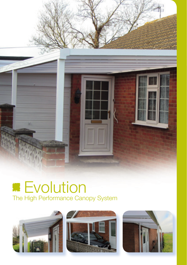

# **Evolution** The High Performance Canopy System





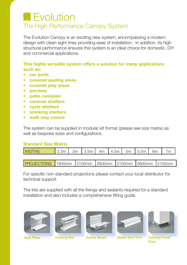## **Evolution** The High Performance Canopy System

The Evolution Canopy is an exciting new system, encompassing a modern design with clean sight lines providing ease of installation. In addition, its high structural performance ensures this system is an ideal choice for domestic, DIY and commercial applications.

#### **This highly versatile system offers a solution for many applications such as:**

- **• car ports**
- **• covered seating areas**
- **• covered play areas**
- **• porches**
- **• patio canopies**
- **• caravan shelters**
- **• cycle shelters**
- **• smoking shelters**
- **• walk way covers**

The system can be supplied in modular kit format (please see size matrix) as well as bespoke sizes and configurations.

#### **Standard Size Matrix**

| <b>WIDTHS</b>                                                |  |  |  |  |  |  | $\vert$ 2.5m $\vert$ 3m $\vert$ 3.5m $\vert$ 4m $\vert$ 4.5m $\vert$ 5m $\vert$ 5.5m $\vert$ 6m $\vert$ 7m $\vert$ |  |  |  |
|--------------------------------------------------------------|--|--|--|--|--|--|--------------------------------------------------------------------------------------------------------------------|--|--|--|
|                                                              |  |  |  |  |  |  |                                                                                                                    |  |  |  |
| <b>PROJECTIONS</b> 1600mm 2100mm 2600mm 3100mm 3600mm 4100mm |  |  |  |  |  |  |                                                                                                                    |  |  |  |

For specific non-standard projections please contact your local distributor for technical support.

The kits are supplied with all the fixings and sealants required for a standard installation and also includes a comprehensive fitting guide.











Wall Plate Glazing Bar Eaves Beam Sheet End Trim Canopy Post/ Foot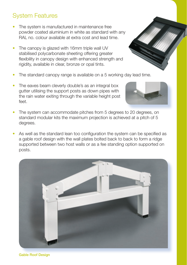#### Gable Roof Design

### System Features

- The system is manufactured in maintenance free powder coated aluminium in white as standard with any RAL no. colour available at extra cost and lead time.
- The canopy is glazed with 16mm triple wall UV stabilised polycarbonate sheeting offering greater flexibility in canopy design with enhanced strength and rigidity, available in clear, bronze or opal tints.
- The standard canopy range is available on a 5 working day lead time.
- The eaves beam cleverly double's as an integral box gutter utilising the support posts as down pipes with the rain water exiting through the variable height post feet.
- The system can accommodate pitches from 5 degrees to 20 degrees, on standard modular kits the maximum projection is achieved at a pitch of 5 degrees.
- As well as the standard lean too configuration the system can be specified as a gable roof design with the wall plates bolted back to back to form a ridge supported between two host walls or as a fee standing option supported on posts.